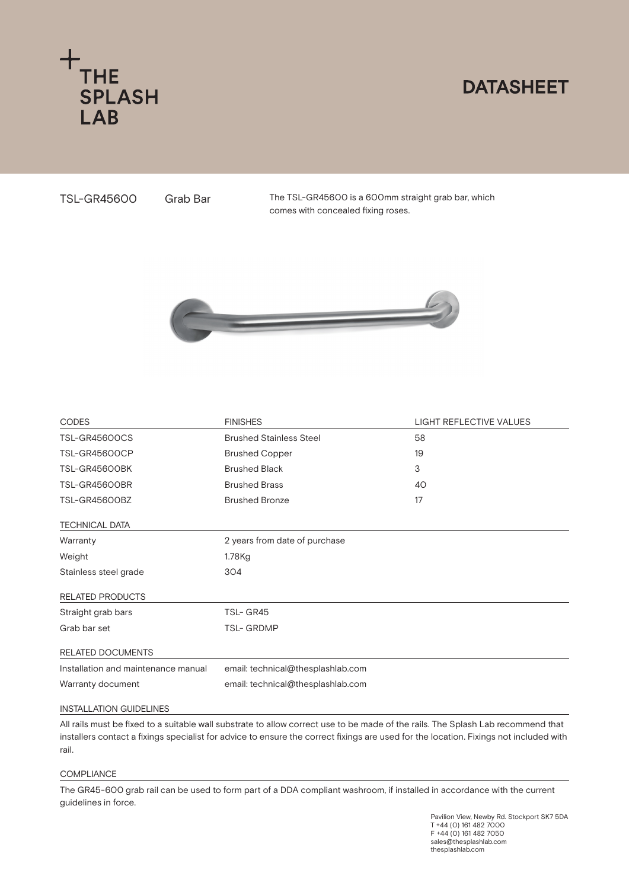

## **DATASHEET**

TSL-GR45600

Grab Bar The TSL-GR45600 is a 600mm straight grab bar, which comes with concealed fixing roses.



| <b>CODES</b>                        | <b>FINISHES</b>                   | <b>LIGHT REFLECTIVE VALUES</b> |
|-------------------------------------|-----------------------------------|--------------------------------|
| <b>TSL-GR45600CS</b>                | <b>Brushed Stainless Steel</b>    | 58                             |
| <b>TSL-GR45600CP</b>                | <b>Brushed Copper</b>             | 19                             |
| TSL-GR45600BK                       | <b>Brushed Black</b>              | 3                              |
| TSL-GR45600BR                       | <b>Brushed Brass</b>              | 40                             |
| TSL-GR45600BZ                       | <b>Brushed Bronze</b>             | 17                             |
| <b>TECHNICAL DATA</b>               |                                   |                                |
| Warranty                            | 2 years from date of purchase     |                                |
| Weight                              | 1.78Kg                            |                                |
| Stainless steel grade               | 304                               |                                |
| <b>RELATED PRODUCTS</b>             |                                   |                                |
| Straight grab bars                  | TSL-GR45                          |                                |
| Grab bar set                        | <b>TSL-GRDMP</b>                  |                                |
| RELATED DOCUMENTS                   |                                   |                                |
| Installation and maintenance manual | email: technical@thesplashlab.com |                                |
| Warranty document                   | email: technical@thesplashlab.com |                                |
| <b>INSTALLATION GUIDELINES</b>      |                                   |                                |

All rails must be fixed to a suitable wall substrate to allow correct use to be made of the rails. The Splash Lab recommend that installers contact a fixings specialist for advice to ensure the correct fixings are used for the location. Fixings not included with rail.

## **COMPLIANCE**

The GR45-600 grab rail can be used to form part of a DDA compliant washroom, if installed in accordance with the current guidelines in force.

> Pavilion View, Newby Rd. Stockport SK7 5DA T +44 (0) 161 482 7000 F +44 (0) 161 482 7050 sales@thesplashlab.com thesplashlab.com